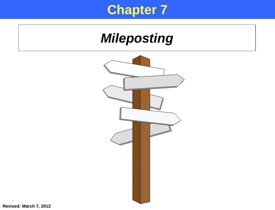#### **Chapter 7**

## *Mileposting*



**Revised: March 7, 2013**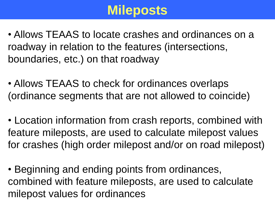#### **Mileposts**

- Allows TEAAS to locate crashes and ordinances on a roadway in relation to the features (intersections, boundaries, etc.) on that roadway
- Allows TEAAS to check for ordinances overlaps (ordinance segments that are not allowed to coincide)
- Location information from crash reports, combined with feature mileposts, are used to calculate milepost values for crashes (high order milepost and/or on road milepost)
- Beginning and ending points from ordinances, combined with feature mileposts, are used to calculate milepost values for ordinances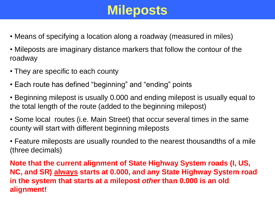## **Mileposts**

- Means of specifying a location along a roadway (measured in miles)
- Mileposts are imaginary distance markers that follow the contour of the roadway
- They are specific to each county
- Each route has defined "beginning" and "ending" points
- Beginning milepost is usually 0.000 and ending milepost is usually equal to the total length of the route (added to the beginning milepost)
- Some local routes (i.e. Main Street) that occur several times in the same county will start with different beginning mileposts

• Feature mileposts are usually rounded to the nearest thousandths of a mile (three decimals)

**Note that the current alignment of State Highway System roads (I, US, NC, and SR) always starts at 0.000, and any State Highway System road in the system that starts at a milepost** *other* **than 0.000 is an old alignment!**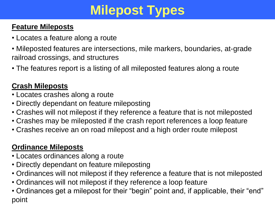# **Milepost Types**

#### **Feature Mileposts**

- Locates a feature along a route
- Mileposted features are intersections, mile markers, boundaries, at-grade railroad crossings, and structures
- The features report is a listing of all mileposted features along a route

#### **Crash Mileposts**

- Locates crashes along a route
- Directly dependant on feature mileposting
- Crashes will not milepost if they reference a feature that is not mileposted
- Crashes may be mileposted if the crash report references a loop feature
- Crashes receive an on road milepost and a high order route milepost

#### **Ordinance Mileposts**

- Locates ordinances along a route
- Directly dependant on feature mileposting
- Ordinances will not milepost if they reference a feature that is not mileposted
- Ordinances will not milepost if they reference a loop feature
- Ordinances get a milepost for their "begin" point and, if applicable, their "end" point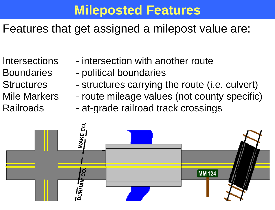### **Mileposted Features**

#### Features that get assigned a milepost value are:

- Intersections intersection with another route
- Boundaries political boundaries
- Structures structures carrying the route (i.e. culvert)
- Mile Markers route mileage values (not county specific)
- Railroads at-grade railroad track crossings

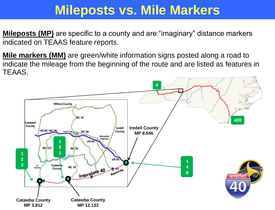#### **Mileposts vs. Mile Markers**

**Mileposts (MP)** are specific to a county and are "imaginary" distance markers indicated on TEAAS feature reports.

**Mile markers (MM)** are green/white information signs posted along a road to indicate the mileage from the beginning of the route and are listed as features in TEAAS.

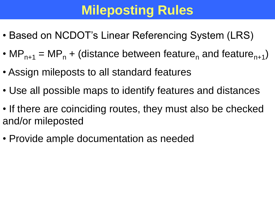# **Mileposting Rules**

- Based on NCDOT's Linear Referencing System (LRS)
- MP<sub>n+1</sub> = MP<sub>n</sub> + (distance between feature<sub>n</sub> and feature<sub>n+1</sub>)
- Assign mileposts to all standard features
- Use all possible maps to identify features and distances
- If there are coinciding routes, they must also be checked and/or mileposted
- Provide ample documentation as needed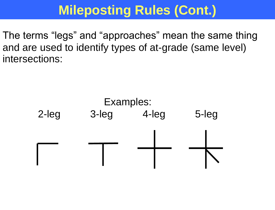## **Mileposting Rules (Cont.)**

The terms "legs" and "approaches" mean the same thing and are used to identify types of at-grade (same level) intersections:

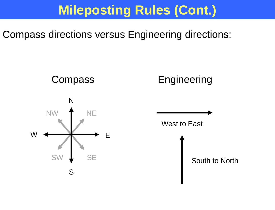### **Mileposting Rules (Cont.)**

Compass directions versus Engineering directions:

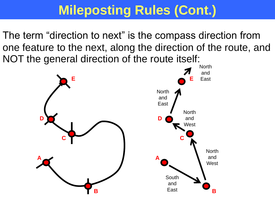## **Mileposting Rules (Cont.)**

The term "direction to next" is the compass direction from one feature to the next, along the direction of the route, and NOT the general direction of the route itself:

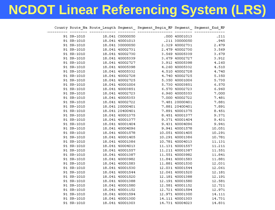## **NCDOT Linear Referencing System (LRS)**

|            |                 |                                    | County Route_Na Route_Length Segment_ Segment_Begin_MP Segment_ Segment_End_MP |                                                    |        |
|------------|-----------------|------------------------------------|--------------------------------------------------------------------------------|----------------------------------------------------|--------|
| 91 SR-1010 |                 | 18.041 C0000050                    |                                                                                | .000 40001013                                      | .211   |
| 91 SR-1010 |                 | 18.041 40001013                    |                                                                                | .211 30000050                                      | .945   |
| 91 SR-1010 | 18.041 30000050 |                                    |                                                                                | 2.329 40002731                                     | 2.479  |
| 91 SR-1010 | 18.041 40002731 |                                    |                                                                                | 2.479 40002730                                     | 3.569  |
| 91 SR-1010 | 18.041 40002730 |                                    |                                                                                | 3.569 40005339                                     | 3.679  |
| 91 SR-1010 |                 |                                    |                                                                                | 3.679 40002727                                     | 3.912  |
| 91 SR-1010 |                 | 18.041 40005339<br>18.041 40002727 |                                                                                | 3.912 40005398                                     | 4.260  |
| 91 SR-1010 |                 | 18.041 40005398                    |                                                                                | 4.260 40005332                                     | 4.510  |
| 91 SR-1010 | 18.041 40005332 |                                    |                                                                                | 4.510 40002728                                     | 4.740  |
| 91 SR-1010 | 18.041 40002728 |                                    |                                                                                | 4.740 40002725                                     | 5.350  |
| 91 SR-1010 |                 | 18.041 40002725                    |                                                                                | 5.350 40001006                                     | 5.730  |
| 91 SR-1010 |                 | 18.041 40001006                    |                                                                                | 5.730 40003851                                     | 6.570  |
| 91 SR-1010 |                 | 18.041 40003851                    |                                                                                | 6.570 40002723                                     | 6.960  |
| 91 SR-1010 |                 | 18.041 40002723                    |                                                                                | 6.960 40005353                                     | 7.000  |
| 91 SR-1010 | 18.041 40005353 |                                    |                                                                                | 7.000 40002722                                     | 7.481  |
| 91 SR-1010 | 18.041 40002722 |                                    |                                                                                | 7.481 20000401                                     | 7.881  |
| 91 SR-1010 |                 | 18.041 20000401                    |                                                                                |                                                    | 7.891  |
| 91 SR-1010 |                 | 18.041 20400401                    |                                                                                |                                                    | 8.451  |
| 91 SR-1010 |                 | 18.041 40001375                    |                                                                                | 7.881 20400401<br>7.891 40001375<br>8.451 40001377 | 9.371  |
| 91 SR-1010 | 18.041 40001377 |                                    |                                                                                | 9.371 40001404                                     | 9.431  |
| 91 SR-1010 | 18.041 40001404 |                                    |                                                                                | 9.431 40004096                                     | 9.941  |
| 91 SR-1010 | 18.041 40004096 |                                    |                                                                                | 9.941 40001578                                     | 10.051 |
| 91 SR-1010 |                 | 18.041 40001578                    |                                                                                | 10.051 40001405                                    | 10.291 |
| 91 SR-1010 |                 | 18.041 40001405                    |                                                                                | 10.291 40001386                                    | 10.781 |
| 91 SR-1010 |                 | 18.041 40001386                    |                                                                                | 10.781 40004013                                    | 11.131 |
| 91 SR-1010 |                 | 18.041 40004013                    |                                                                                | 11.131 40001557                                    | 11.211 |
| 91 SR-1010 | 18.041 40001557 |                                    |                                                                                | 11.211 40001387                                    | 11.551 |
| 91 SR-1010 |                 | 18.041 40001387                    |                                                                                | 11.551 40003982                                    | 11.841 |
| 91 SR-1010 |                 | 18.041 40003982                    |                                                                                | 11.841 40001583                                    | 11.881 |
| 91 SR-1010 |                 | 18.041 40001583                    |                                                                                | 11.881 40001530                                    | 12.031 |
| 91 SR-1010 |                 | 18.041 40001530                    |                                                                                | 12.031 40001544                                    | 12.061 |
| 91 SR-1010 | 18.041 40001544 |                                    |                                                                                | 12.061 40001520                                    | 12.181 |
| 91 SR-1010 |                 | 18.041 40001520                    |                                                                                | 12.181 40001388                                    | 12.191 |
| 91 SR-1010 |                 | 18.041 40001388                    |                                                                                | 12.191 40001580                                    | 12.581 |
| 91 SR-1010 |                 | 18.041 40001580                    |                                                                                | 12.581 40001152                                    | 12.721 |
| 91 SR-1010 |                 | 18.041 40001152                    |                                                                                | 12.721 40001594                                    | 12.971 |
| 91 SR-1010 |                 | 18.041 40001594                    |                                                                                | 12.971 40001300                                    | 14.111 |
| 91 SR-1010 | 18.041 40001300 |                                    |                                                                                | 14.111 40001303                                    | 14.731 |
| 91 SR-1010 |                 | 18.041 40001303                    |                                                                                | 14.731 40004023                                    | 14.831 |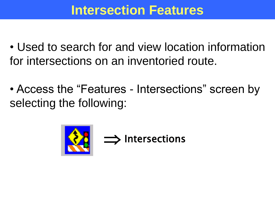#### **Intersection Features**

- Used to search for and view location information for intersections on an inventoried route.
- Access the "Features Intersections" screen by selecting the following:

 $\implies$  Intersections

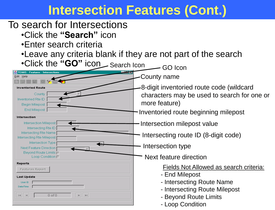#### **Intersection Features (Cont.)**

#### To search for Intersections

•Click the **"Search"** icon

 $\mathbb{H}^{\times}$  .  $\mathbb{H}^{\times}$ 

•Enter search criteria

**Inventoried Route** 

Inventoried Rte ID Begin Milepost End Milepost

Intersection

Reports

**Last Update** User ID Date/Time

 $\mathbb{H}^1$  ,  $\mathbb{H}^1$ 

**Features Report** 

County

Intersection Milepost Intersecting Rte ID Intersecting Rte Name Intersecting Rte Milepost

Intersection Type Next Feature Direction Beyond Route Limits Loop Condition  $\Box$ 

 $0$  of  $0$ 

•Leave any criteria blank if they are not part of the search

**•Click the "GO" icon** Search Icon GO Icon County name Edit Help

> 8-digit inventoried route code (wildcard characters may be used to search for one or more feature)

Inventoried route beginning milepost

Intersection milepost value

Intersecting route ID (8-digit code)

Intersection type

Next feature direction

Fields Not Allowed as search criteria:

- End Milepost
- Intersecting Route Name
- Intersecting Route Milepost
- Beyond Route Limits
- Loop Condition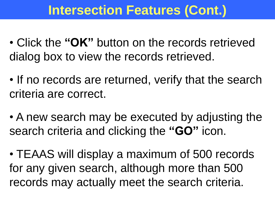### **Intersection Features (Cont.)**

- Click the **"OK"** button on the records retrieved dialog box to view the records retrieved.
- If no records are returned, verify that the search criteria are correct.
- A new search may be executed by adjusting the search criteria and clicking the **"GO"** icon.
- TEAAS will display a maximum of 500 records for any given search, although more than 500 records may actually meet the search criteria.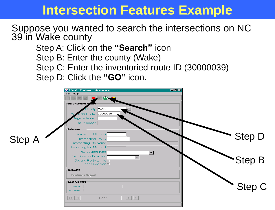#### **Intersection Features Example**

#### Suppose you wanted to search the intersections on NC 39 in Wake county

Step A: Click on the **"Search"** icon Step B: Enter the county (Wake) Step C: Enter the inventoried route ID (30000039) Step D: Click the **"GO"** icon.

|               | $\Box$ o $\times$<br>TEAAS - Features - Intersections<br>Edit Help<br>O.<br>Inventoried Route<br>County WAKE<br>ried Rte ID 30000039<br>Inver<br>Begin Milepost<br>End Milepost |               |
|---------------|---------------------------------------------------------------------------------------------------------------------------------------------------------------------------------|---------------|
| <b>Step A</b> | Intersection<br>Intersection Milepost<br>Intersecting Rte ID<br>Intersecting Rte Name<br>Intersecting Rte Milepost                                                              | Step D        |
|               | Intersection Type  <br>$\blacktriangledown$<br>Next Feature Direction [<br>$\overline{\phantom{0}}$<br>Beyond Route Limits [1]<br>Loop Condition [<br><b>Reports</b>            | <b>Step B</b> |
|               | <b>Features Report</b><br>Last Update<br>User ID<br>Date/Time                                                                                                                   | Step C        |
|               | $\blacktriangleright$ . $\blacktriangleright$<br>$\mathbb H$<br>$1$ of $6$<br>$\sim 0$                                                                                          |               |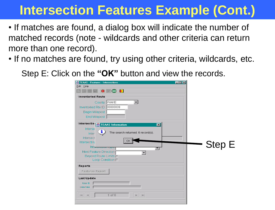### **Intersection Features Example (Cont.)**

- If matches are found, a dialog box will indicate the number of matched records (note - wildcards and other criteria can return more than one record).
- If no matches are found, try using other criteria, wildcards, etc.

Step E: Click on the **"OK"** button and view the records.

| Edit Help<br>$\bullet$ $\bullet$<br>⊛<br>Inventoried Route                                                                                            |               |
|-------------------------------------------------------------------------------------------------------------------------------------------------------|---------------|
| County WAKE<br>▼∣<br>Inventoried Rte ID 30000039<br>Begin Milepost<br>End Milepost                                                                    |               |
| -Intersectio STEAAS Information<br>$\vert x \vert$<br>Interse<br>The search returned: 6 record(s).<br>ı<br>Inter<br>Intersect<br>OK j<br>Intersecting |               |
| Int6 <sub>1</sub><br>'YM<br>Next Feature Direction<br>$\blacktriangledown$<br>Beyond Route Limits<br>Loop Condition [                                 | <b>Step E</b> |
| Reports<br><b>Features Report</b><br>Last Update                                                                                                      |               |
| User ID<br>Date/Time                                                                                                                                  |               |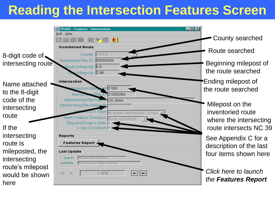## **Reading the Intersection Features Screen**

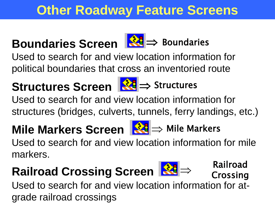## **Other Roadway Feature Screens**

## **Boundaries Screen** <u>K</u><sup>2</sup> ⇒ Boundaries

Used to search for and view location information for political boundaries that cross an inventoried route

## **Structures Screen** <u>K</u>t ⇒ Structures

Used to search for and view location information for structures (bridges, culverts, tunnels, ferry landings, etc.)

# **Mile Markers Screen** <u>Mile</u> Mile Markers

Used to search for and view location information for mile markers.

# **Railroad Crossing Screen** <u>R24</u> ⇒

Used to search for and view location information for atgrade railroad crossings Railroad Crossing



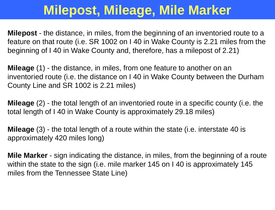## **Milepost, Mileage, Mile Marker**

**Milepost** - the distance, in miles, from the beginning of an inventoried route to a feature on that route (i.e. SR 1002 on I 40 in Wake County is 2.21 miles from the beginning of I 40 in Wake County and, therefore, has a milepost of 2.21)

**Mileage** (1) - the distance, in miles, from one feature to another on an inventoried route (i.e. the distance on I 40 in Wake County between the Durham County Line and SR 1002 is 2.21 miles)

**Mileage** (2) - the total length of an inventoried route in a specific county (i.e. the total length of I 40 in Wake County is approximately 29.18 miles)

**Mileage** (3) - the total length of a route within the state (i.e. interstate 40 is approximately 420 miles long)

**Mile Marker** - sign indicating the distance, in miles, from the beginning of a route within the state to the sign (i.e. mile marker 145 on I 40 is approximately 145 miles from the Tennessee State Line)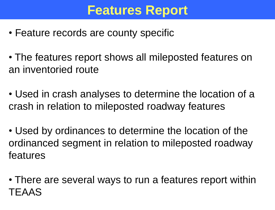#### **Features Report**

- Feature records are county specific
- The features report shows all mileposted features on an inventoried route
- Used in crash analyses to determine the location of a crash in relation to mileposted roadway features
- Used by ordinances to determine the location of the ordinanced segment in relation to mileposted roadway features
- There are several ways to run a features report within TEAAS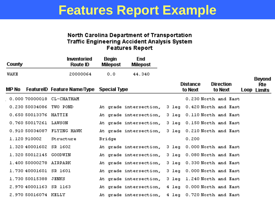#### **Features Report Example**

#### North Carolina Department of Transportation **Traffic Engineering Accident Analysis System Features Report**

| <b>County</b> |                       | <b>Inventoried</b><br>Route ID                  | <b>Begin</b><br><b>Milepost</b> | <b>End</b><br><b>Milepost</b> |                 |                            |                             |                    |
|---------------|-----------------------|-------------------------------------------------|---------------------------------|-------------------------------|-----------------|----------------------------|-----------------------------|--------------------|
| WAKE          |                       | 20000064                                        | 0.0                             | 44.340                        |                 |                            |                             | <b>Beyond</b>      |
| MP No         |                       | <b>FeatureID</b> Feature Name/Type Special Type |                                 |                               |                 | <b>Distance</b><br>to Next | <b>Direction</b><br>to Next | Rte<br>Loop Limits |
|               | 0.000 70000018        | CL-CHATHAM                                      |                                 |                               |                 |                            | 0.230 North and East        |                    |
|               | 0.230 50034086        | TWO POND                                        |                                 | At grade intersection,        | 3 leg           |                            | 0.420 North and East        |                    |
|               | 0.650 50013376 HATTIE |                                                 |                                 | At grade intersection,        | $3$ leq         |                            | 0.110 North and East        |                    |
|               | 0.760 50017261        | LAWSON                                          |                                 | At grade intersection.        | $3$ leg         |                            | 0.150 North and East        |                    |
|               | 0.910 50034087        | <b>FLYING HAWK</b>                              |                                 | At grade intersection,        | $3$ leg         |                            | 0.210 North and East        |                    |
|               | 1.120 910002          | Structure                                       | Bridge                          |                               |                 | 0.200                      |                             |                    |
|               | 1,320 40001602        | SR 1602                                         |                                 | At grade intersection,        | 3 leg           |                            | 0.000 North and East        |                    |
|               | 1,320 50012145        | <b>GOODWIN</b>                                  |                                 | At grade intersection,        | $3$ leg         |                            | 0.080 North and East        |                    |
|               | 1,400 50000278        | AIRPARK                                         |                                 | At grade intersection,        | 3 leg           |                            | 0.330 North and East        |                    |
|               | 1,730 40001601        | SR 1601                                         |                                 | At grade intersection,        | 3 leg           |                            | 0.000 North and East        |                    |
|               | 1,730 50015388        | <b>JENKS</b>                                    |                                 | At grade intersection,        | 3 leg           |                            | 1.240 North and East        |                    |
|               | 2.970 40001163        | <b>SR 1163</b>                                  |                                 | At grade intersection,        | $4 \text{ leg}$ |                            | 0.000 North and East        |                    |
|               | 2.970 50016074 KELLY  |                                                 |                                 | At grade intersection,        | $4$ leg         |                            | 0.720 North and East        |                    |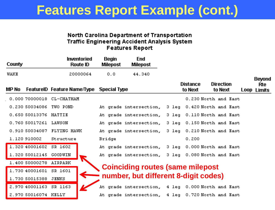#### **Features Report Example (cont.) Features Report Example**

#### North Carolina Department of Transportation **Traffic Engineering Accident Analysis System Features Report**

| <b>County</b> |                        | <b>Inventoried</b><br><b>Route ID</b>           | <b>Begin</b><br><b>Milepost</b> | <b>End</b><br><b>Milepost</b>                     |                            |                             |                           |
|---------------|------------------------|-------------------------------------------------|---------------------------------|---------------------------------------------------|----------------------------|-----------------------------|---------------------------|
| <b>WAKE</b>   |                        | 20000064                                        | 0.0                             | 44.340                                            |                            |                             | <b>Beyond</b>             |
| MP No         |                        | <b>FeatureID Feature Name/Type Special Type</b> |                                 |                                                   | <b>Distance</b><br>to Next | <b>Direction</b><br>to Next | Rte<br><b>Loop Limits</b> |
|               | 0.000 70000018         | CL-CHATHAM                                      |                                 |                                                   |                            | 0.230 North and East        |                           |
|               | 0.230 50034086         | TWO POND                                        |                                 | At grade intersection, 3 leg 0.420 North and East |                            |                             |                           |
|               | 0.650 50013376 HATTIE  |                                                 |                                 | At grade intersection, 3 leg                      |                            | 0.110 North and East        |                           |
|               | 0.76050017261          | LAWSON                                          |                                 | At grade intersection.                            |                            | 3 leg 0.150 North and East  |                           |
|               |                        | 0.910 50034087 FLYING HAWK                      |                                 | At grade intersection, 3 leg 0.210 North and East |                            |                             |                           |
|               | 1.120 910002           | Structure                                       | Bridge                          |                                                   | 0.200                      |                             |                           |
|               | 1.320 40001602 SR 1602 |                                                 |                                 | At grade intersection, 3 leg 0.000 North and East |                            |                             |                           |
|               | 1.320 50012145         | <b>GOODWIN</b>                                  |                                 | At grade intersection, 3 leg 0.080 North and East |                            |                             |                           |
|               | 1.400 50000278 AIRPARK |                                                 |                                 |                                                   |                            |                             |                           |
|               | 1.730 40001601         | SR 1601                                         |                                 | <b>Coinciding routes (same milepost</b>           |                            |                             |                           |
|               | 1.730 50015388 JENKS   |                                                 |                                 | number, but different 8-digit codes)              |                            |                             |                           |
|               | 2.970 40001163 SR 1163 |                                                 |                                 | At grade intersection,                            |                            | 4 leq 0.000 North and East  |                           |
|               | 2.970 50016074 KELLY   |                                                 |                                 | At grade intersection, 4 leg 0.720 North and East |                            |                             |                           |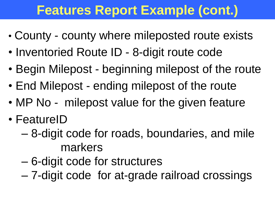## **Features Report Example (cont.)**

- County county where mileposted route exists
- Inventoried Route ID 8-digit route code
- Begin Milepost beginning milepost of the route
- End Milepost ending milepost of the route
- MP No milepost value for the given feature
- FeatureID
	- 8-digit code for roads, boundaries, and mile markers
	- 6-digit code for structures
	- 7-digit code for at-grade railroad crossings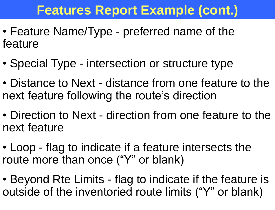## **Features Report Example (cont.)**

- Feature Name/Type preferred name of the feature
- Special Type intersection or structure type
- Distance to Next distance from one feature to the next feature following the route's direction
- Direction to Next direction from one feature to the next feature
- Loop flag to indicate if a feature intersects the route more than once ("Y" or blank)
- Beyond Rte Limits flag to indicate if the feature is outside of the inventoried route limits ("Y" or blank)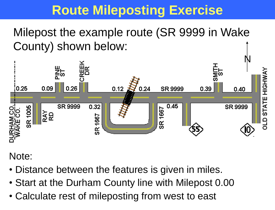### **Route Mileposting Exercise**

Milepost the example route (SR 9999 in Wake County) shown below:



Note:

- Distance between the features is given in miles.
- Start at the Durham County line with Milepost 0.00
- Calculate rest of mileposting from west to east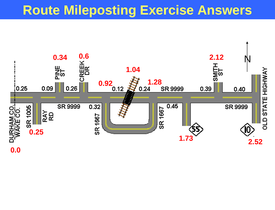#### **Route Mileposting Exercise Answers**

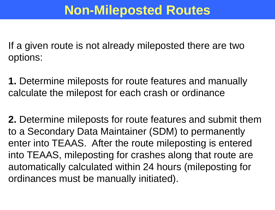If a given route is not already mileposted there are two options:

**1.** Determine mileposts for route features and manually calculate the milepost for each crash or ordinance

**2.** Determine mileposts for route features and submit them to a Secondary Data Maintainer (SDM) to permanently enter into TEAAS. After the route mileposting is entered into TEAAS, mileposting for crashes along that route are automatically calculated within 24 hours (mileposting for ordinances must be manually initiated).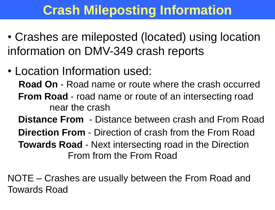## **Crash Mileposting Information**

- Crashes are mileposted (located) using location information on DMV-349 crash reports
- Location Information used: **Road On** - Road name or route where the crash occurred **From Road** - road name or route of an intersecting road near the crash **Distance From** - Distance between crash and From Road **Direction From** - Direction of crash from the From Road **Towards Road** - Next intersecting road in the Direction From from the From Road

NOTE – Crashes are usually between the From Road and Towards Road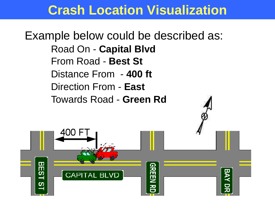#### **Crash Location Visualization**

Example below could be described as: Road On - **Capital Blvd** From Road - **Best St** Distance From - **400 ft** Direction From - **East** Towards Road - **Green Rd**

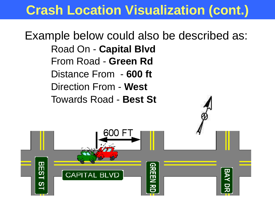#### **Crash Location Visualization (cont.)**

Example below could also be described as: Road On - **Capital Blvd** From Road - **Green Rd** Distance From - **600 ft** Direction From - **West** Towards Road - **Best St**

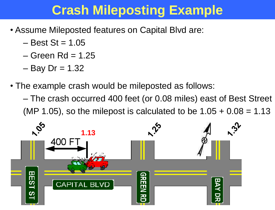### **Crash Mileposting Example**

- Assume Mileposted features on Capital Blvd are:
	- $-$  Best St = 1.05
	- $-$  Green Rd = 1.25
	- $-$  Bay Dr = 1.32
- The example crash would be mileposted as follows:
	- The crash occurred 400 feet (or 0.08 miles) east of Best Street (MP 1.05), so the milepost is calculated to be  $1.05 + 0.08 = 1.13$

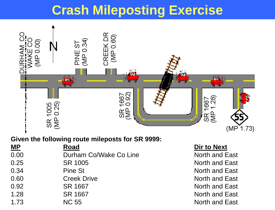### **Crash Mileposting Exercise**



#### **Given the following route mileposts for SR 9999:**

| <b>MP</b> | Road                   |
|-----------|------------------------|
| 0.00      | Durham Co/Wake Co Line |
| 0.25      | SR 1005                |
| 0.34      | Pine St                |
| 0.60      | <b>Creek Drive</b>     |
| 0.92      | SR 1667                |
| 1.28      | SR 1667                |
| 1.73      | <b>NC 55</b>           |

#### **Dir to Next**

North and East North and East North and East North and East North and East North and East North and East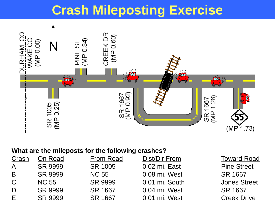#### **Crash Mileposting Exercise**



#### **What are the mileposts for the following crashes?**

| Crash        | On Road        | <b>From Road</b> | Dist/Dir From  | <b>Toward Road</b>  |
|--------------|----------------|------------------|----------------|---------------------|
| $\mathsf{A}$ | SR 9999        | SR 1005          | 0.02 mi. East  | <b>Pine Street</b>  |
| B            | SR 9999        | <b>NC 55</b>     | 0.08 mi. West  | SR 1667             |
| $\mathcal C$ | <b>NC 55</b>   | SR 9999          | 0.01 mi. South | <b>Jones Street</b> |
| D            | SR 9999        | SR 1667          | 0.04 mi. West  | SR 1667             |
| F.           | <b>SR 9999</b> | SR 1667          | 0.01 mi. West  | <b>Creek Drive</b>  |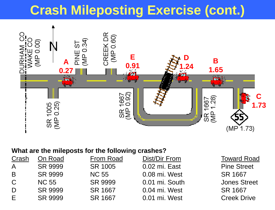## **Crash Mileposting Exercise (cont.)**



#### **What are the mileposts for the following crashes?**

| Crash         | On Road        | <b>From Road</b> | Dist/Dir From  | <b>Toward Road</b>  |
|---------------|----------------|------------------|----------------|---------------------|
| A             | <b>SR 9999</b> | SR 1005          | 0.02 mi. East  | <b>Pine Street</b>  |
| <b>B</b>      | SR 9999        | <b>NC 55</b>     | 0.08 mi. West  | SR 1667             |
| $\mathcal{C}$ | <b>NC 55</b>   | <b>SR 9999</b>   | 0.01 mi. South | <b>Jones Street</b> |
| D             | <b>SR 9999</b> | SR 1667          | 0.04 mi. West  | SR 1667             |
| E             | <b>SR 9999</b> | SR 1667          | 0.01 mi. West  | <b>Creek Drive</b>  |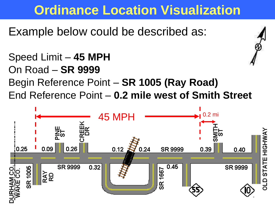### **Ordinance Location Visualization**

Example below could be described as:

Speed Limit – **45 MPH** On Road – **SR 9999** Begin Reference Point – **SR 1005 (Ray Road)** End Reference Point – **0.2 mile west of Smith Street**

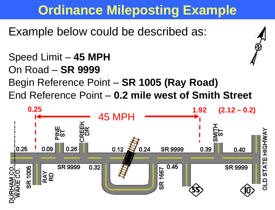## **Ordinance Mileposting Example**

Example below could be described as:

Speed Limit – **45 MPH** On Road – **SR 9999** Begin Reference Point – **SR 1005 (Ray Road)** End Reference Point – **0.2 mile west of Smith Street**

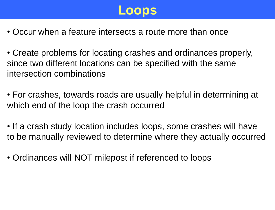

- Occur when a feature intersects a route more than once
- Create problems for locating crashes and ordinances properly, since two different locations can be specified with the same intersection combinations
- For crashes, towards roads are usually helpful in determining at which end of the loop the crash occurred
- If a crash study location includes loops, some crashes will have to be manually reviewed to determine where they actually occurred
- Ordinances will NOT milepost if referenced to loops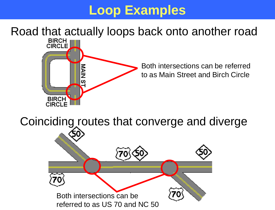### **Loop Examples**

#### Road that actually loops back onto another road



Both intersections can be referred to as Main Street and Birch Circle

Coinciding routes that converge and diverge

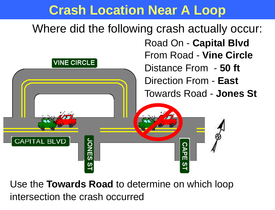#### **Crash Location Near A Loop**

Where did the following crash actually occur: Road On - **Capital Blvd** From Road - **Vine Circle VINE CIRCLE** Distance From - **50 ft** Direction From - **East** Towards Road - **Jones St CAPITAL BLVD JONES ST CAPE** 

Use the **Towards Road** to determine on which loop intersection the crash occurred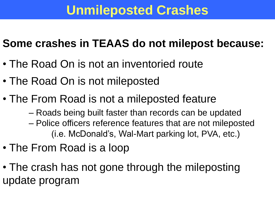#### **Unmileposted Crashes**

#### **Some crashes in TEAAS do not milepost because:**

- The Road On is not an inventoried route
- The Road On is not mileposted
- The From Road is not a mileposted feature
	- Roads being built faster than records can be updated – Police officers reference features that are not mileposted (i.e. McDonald's, Wal-Mart parking lot, PVA, etc.)
- The From Road is a loop
- The crash has not gone through the mileposting update program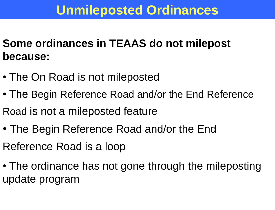### **Unmileposted Ordinances**

- **Some ordinances in TEAAS do not milepost because:**
- The On Road is not mileposted
- The Begin Reference Road and/or the End Reference Road is not a mileposted feature
- The Begin Reference Road and/or the End Reference Road is a loop
- The ordinance has not gone through the mileposting update program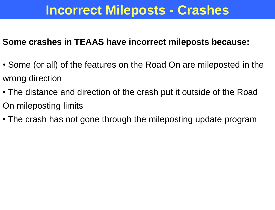#### **Incorrect Mileposts - Crashes**

#### **Some crashes in TEAAS have incorrect mileposts because:**

- Some (or all) of the features on the Road On are mileposted in the wrong direction
- The distance and direction of the crash put it outside of the Road On mileposting limits
- The crash has not gone through the mileposting update program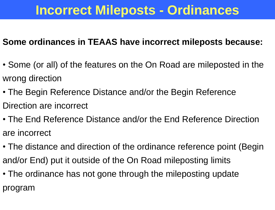#### **Incorrect Mileposts - Ordinances**

#### **Some ordinances in TEAAS have incorrect mileposts because:**

- Some (or all) of the features on the On Road are mileposted in the wrong direction
- The Begin Reference Distance and/or the Begin Reference Direction are incorrect
- The End Reference Distance and/or the End Reference Direction are incorrect
- The distance and direction of the ordinance reference point (Begin and/or End) put it outside of the On Road mileposting limits
- The ordinance has not gone through the mileposting update program